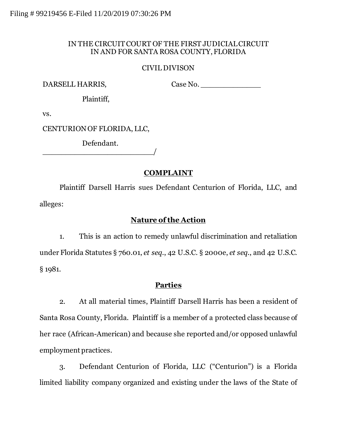## IN THE CIRCUIT COURT OF THE FIRST JUDICIAL CIRCUIT IN AND FOR SANTA ROSA COUNTY, FLORIDA

## CIVIL DIVISON

DARSELL HARRIS,

Case No.

Plaintiff,

vs.

CENTURIONOF FLORIDA, LLC,

Defendant. \_\_\_\_\_\_\_\_\_\_\_\_\_\_\_\_\_\_\_\_\_\_\_\_/

# **COMPLAINT**

Plaintiff Darsell Harris sues Defendant Centurion of Florida, LLC, and alleges:

## **Nature of the Action**

1. This is an action to remedy unlawful discrimination and retaliation under Florida Statutes § 760.01, *et seq*., 42 U.S.C. § 2000e, *et seq.*, and 42 U.S.C. § 1981.

# **Parties**

2. At all material times, Plaintiff Darsell Harris has been a resident of Santa Rosa County, Florida. Plaintiff is a member of a protected class because of her race (African-American) and because she reported and/or opposed unlawful employment practices.

3. Defendant Centurion of Florida, LLC ("Centurion") is a Florida limited liability company organized and existing under the laws of the State of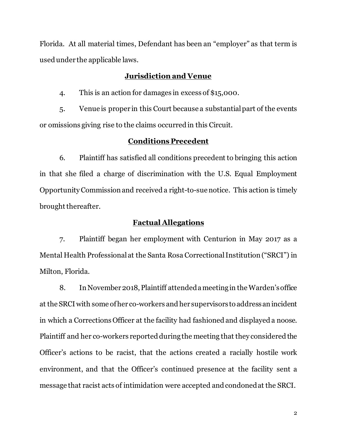Florida. At all material times, Defendant has been an "employer" as that term is used under the applicable laws.

### **Jurisdiction and Venue**

4. This is an action for damages in excess of \$15,000.

5. Venue is proper in this Court because a substantial part of the events or omissions giving rise to the claims occurred in this Circuit.

#### **Conditions Precedent**

6. Plaintiff has satisfied all conditions precedent to bringing this action in that she filed a charge of discrimination with the U.S. Equal Employment Opportunity Commission and received a right-to-sue notice. This action is timely brought thereafter.

#### **Factual Allegations**

7. Plaintiff began her employment with Centurion in May 2017 as a Mental Health Professional at the Santa Rosa Correctional Institution ("SRCI") in Milton, Florida.

8. In November 2018, Plaintiff attended a meeting in the Warden's office at the SRCI with some of her co-workers and her supervisors to address an incident in which a Corrections Officer at the facility had fashioned and displayed a noose. Plaintiff and her co-workers reported during the meeting that they considered the Officer's actions to be racist, that the actions created a racially hostile work environment, and that the Officer's continued presence at the facility sent a message that racist acts of intimidation were accepted and condoned at the SRCI.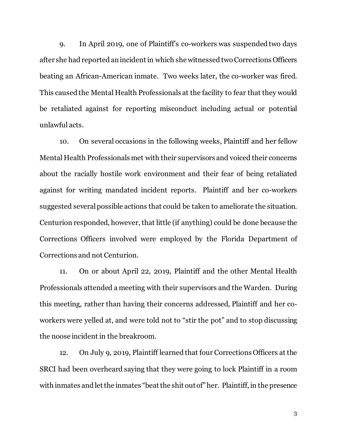9. In April 2019, one of Plaintiff's co-workers was suspended two days after she had reported an incident in which she witnessed two Corrections Officers beating an African-American inmate. Two weeks later, the co-worker was fired. This caused the Mental Health Professionals at the facility to fear that they would be retaliated against for reporting misconduct including actual or potential unlawful acts.

10. On several occasions in the following weeks, Plaintiff and her fellow Mental Health Professionals met with their supervisors and voiced their concerns about the racially hostile work environment and their fear of being retaliated against for writing mandated incident reports. Plaintiff and her co-workers suggested several possible actions that could be taken to ameliorate the situation. Centurion responded, however, that little (if anything) could be done because the Corrections Officers involved were employed by the Florida Department of Corrections and not Centurion.

11. On or about April 22, 2019, Plaintiff and the other Mental Health Professionals attended a meeting with their supervisors and the Warden. During this meeting, rather than having their concerns addressed, Plaintiff and her coworkers were yelled at, and were told not to "stir the pot" and to stop discussing the noose incident in the breakroom.

12. On July 9, 2019, Plaintiff learned that four Corrections Officers at the SRCI had been overheard saying that they were going to lock Plaintiff in a room with inmates and let the inmates "beat the shit out of" her. Plaintiff, in the presence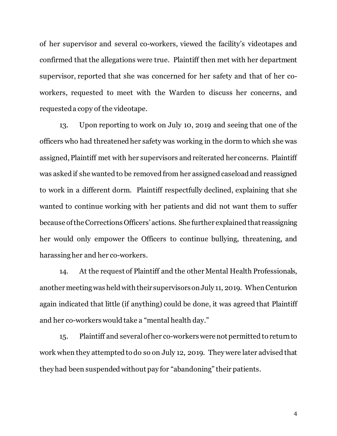of her supervisor and several co-workers, viewed the facility's videotapes and confirmed that the allegations were true. Plaintiff then met with her department supervisor, reported that she was concerned for her safety and that of her coworkers, requested to meet with the Warden to discuss her concerns, and requested a copy of the videotape.

13. Upon reporting to work on July 10, 2019 and seeing that one of the officers who had threatened her safety was working in the dorm to which she was assigned, Plaintiff met with her supervisors and reiterated her concerns. Plaintiff was asked if she wanted to be removed from her assigned caseload and reassigned to work in a different dorm. Plaintiff respectfully declined, explaining that she wanted to continue working with her patients and did not want them to suffer because of the Corrections Officers' actions. She further explained that reassigning her would only empower the Officers to continue bullying, threatening, and harassing her and her co-workers.

14. At the request of Plaintiff and the other Mental Health Professionals, another meeting was held with their supervisorson July 11, 2019. When Centurion again indicated that little (if anything) could be done, it was agreed that Plaintiff and her co-workers would take a "mental health day."

15. Plaintiff and several of her co-workers were not permitted to return to work when they attempted to do so on July 12, 2019. They were later advised that they had been suspended without pay for "abandoning" their patients.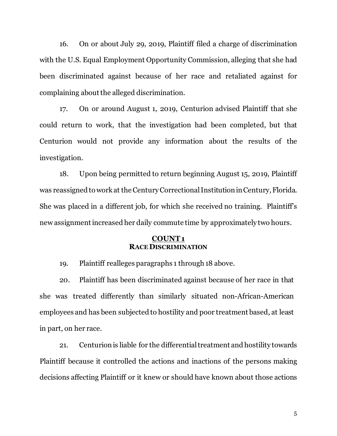16. On or about July 29, 2019, Plaintiff filed a charge of discrimination with the U.S. Equal Employment Opportunity Commission, alleging that she had been discriminated against because of her race and retaliated against for complaining about the alleged discrimination.

17. On or around August 1, 2019, Centurion advised Plaintiff that she could return to work, that the investigation had been completed, but that Centurion would not provide any information about the results of the investigation.

18. Upon being permitted to return beginning August 15, 2019, Plaintiff was reassigned to work at the Century Correctional Institution in Century, Florida. She was placed in a different job, for which she received no training. Plaintiff's new assignment increased her daily commute time by approximately two hours.

#### **COUNT1 RACE DISCRIMINATION**

19. Plaintiff realleges paragraphs 1 through 18 above.

20. Plaintiff has been discriminated against because of her race in that she was treated differently than similarly situated non-African-American employees and has been subjected to hostility and poor treatment based, at least in part, on her race.

21. Centurion is liable for the differential treatment and hostility towards Plaintiff because it controlled the actions and inactions of the persons making decisions affecting Plaintiff or it knew or should have known about those actions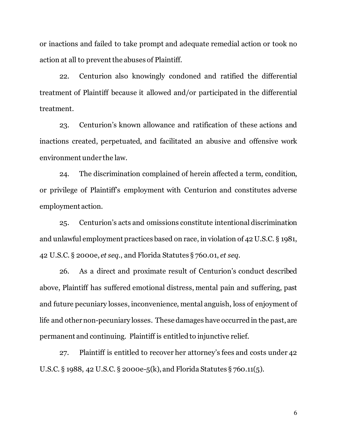or inactions and failed to take prompt and adequate remedial action or took no action at all to prevent the abuses of Plaintiff.

22. Centurion also knowingly condoned and ratified the differential treatment of Plaintiff because it allowed and/or participated in the differential treatment.

23. Centurion's known allowance and ratification of these actions and inactions created, perpetuated, and facilitated an abusive and offensive work environment under the law.

24. The discrimination complained of herein affected a term, condition, or privilege of Plaintiff's employment with Centurion and constitutes adverse employment action.

25. Centurion's acts and omissions constitute intentional discrimination and unlawful employment practices based on race, in violation of 42 U.S.C. § 1981, 42 U.S.C. § 2000e, *et seq.*, and Florida Statutes § 760.01, *et seq*.

26. As a direct and proximate result of Centurion's conduct described above, Plaintiff has suffered emotional distress, mental pain and suffering, past and future pecuniary losses, inconvenience, mental anguish, loss of enjoyment of life and other non-pecuniary losses. These damages have occurred in the past, are permanent and continuing. Plaintiff is entitled to injunctive relief.

27. Plaintiff is entitled to recover her attorney's fees and costs under 42 U.S.C. § 1988, 42 U.S.C. § 2000e-5(k), and Florida Statutes § 760.11(5).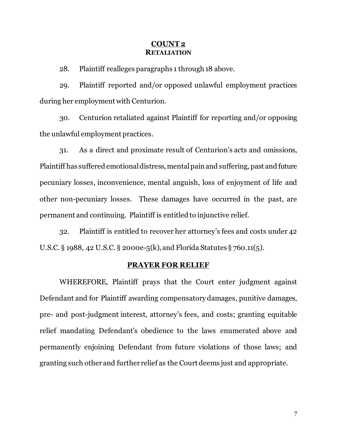### **COUNT 2 RETALIATION**

28. Plaintiff realleges paragraphs 1 through 18 above.

29. Plaintiff reported and/or opposed unlawful employment practices during her employment with Centurion.

30. Centurion retaliated against Plaintiff for reporting and/or opposing the unlawful employment practices.

31. As a direct and proximate result of Centurion's acts and omissions, Plaintiff has suffered emotional distress, mental pain and suffering, past and future pecuniary losses, inconvenience, mental anguish, loss of enjoyment of life and other non-pecuniary losses. These damages have occurred in the past, are permanent and continuing. Plaintiff is entitled to injunctive relief.

32. Plaintiff is entitled to recover her attorney's fees and costs under 42 U.S.C. § 1988, 42 U.S.C. § 2000e-5(k), and Florida Statutes § 760.11(5).

#### **PRAYER FOR RELIEF**

WHEREFORE, Plaintiff prays that the Court enter judgment against Defendant and for Plaintiff awarding compensatory damages, punitive damages, pre- and post-judgment interest, attorney's fees, and costs; granting equitable relief mandating Defendant's obedience to the laws enumerated above and permanently enjoining Defendant from future violations of those laws; and granting such other and further relief as the Court deems just and appropriate.